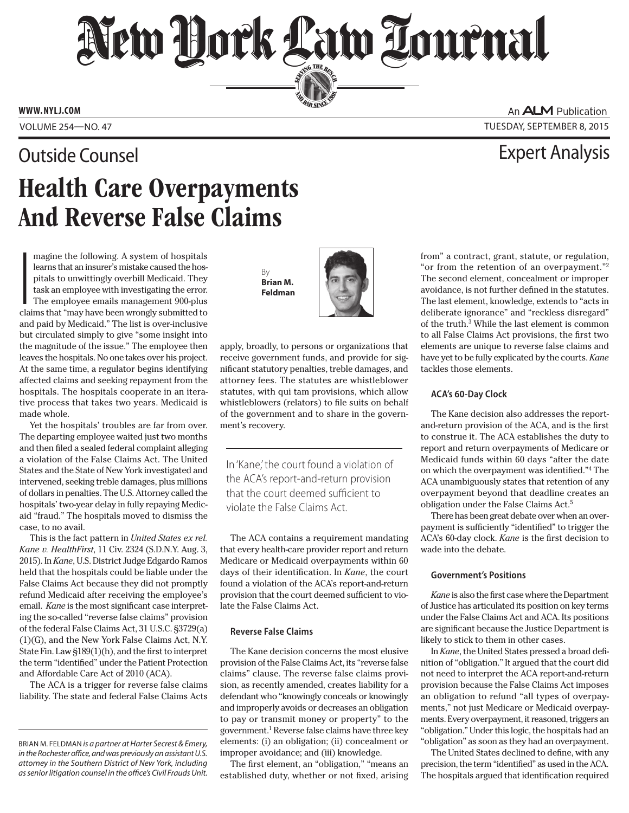# SERVING THE BET

**ED BAR SINCE 1888** 

**www. NYLJ.com**

Volume 254—NO. 47 Tuesday, September 8, 2015

## Health Care Overpayments And Reverse False Claims Outside Counsel Expert Analysis

|<br>|<br>|<br>|<br>|<br>| magine the following. A system of hospitals learns that an insurer's mistake caused the hospitals to unwittingly overbill Medicaid. They task an employee with investigating the error. The employee emails management 900-plus claims that "may have been wrongly submitted to and paid by Medicaid." The list is over-inclusive but circulated simply to give "some insight into the magnitude of the issue." The employee then leaves the hospitals. No one takes over his project. At the same time, a regulator begins identifying affected claims and seeking repayment from the hospitals. The hospitals cooperate in an iterative process that takes two years. Medicaid is made whole.

Yet the hospitals' troubles are far from over. The departing employee waited just two months and then filed a sealed federal complaint alleging a violation of the False Claims Act. The United States and the State of New York investigated and intervened, seeking treble damages, plus millions of dollars in penalties. The U.S. Attorney called the hospitals' two-year delay in fully repaying Medicaid "fraud." The hospitals moved to dismiss the case, to no avail.

This is the fact pattern in *United States ex rel. Kane v. HealthFirst*, 11 Civ. 2324 (S.D.N.Y. Aug. 3, 2015). In *Kane*, U.S. District Judge Edgardo Ramos held that the hospitals could be liable under the False Claims Act because they did not promptly refund Medicaid after receiving the employee's email. *Kane* is the most significant case interpreting the so-called "reverse false claims" provision of the federal False Claims Act, 31 U.S.C. §3729(a) (1)(G), and the New York False Claims Act, N.Y. State Fin. Law §189(1)(h), and the first to interpret the term "identified" under the Patient Protection and Affordable Care Act of 2010 (ACA).

The ACA is a trigger for reverse false claims liability. The state and federal False Claims Acts

By **Brian M. Feldman**



apply, broadly, to persons or organizations that receive government funds, and provide for significant statutory penalties, treble damages, and attorney fees. The statutes are whistleblower statutes, with qui tam provisions, which allow whistleblowers (relators) to file suits on behalf of the government and to share in the government's recovery.

In 'Kane,' the court found a violation of the ACA's report-and-return provision that the court deemed sufficient to violate the False Claims Act.

The ACA contains a requirement mandating that every health-care provider report and return Medicare or Medicaid overpayments within 60 days of their identification. In *Kane*, the court found a violation of the ACA's report-and-return provision that the court deemed sufficient to violate the False Claims Act.

#### **Reverse False Claims**

The Kane decision concerns the most elusive provision of the False Claims Act, its "reverse false claims" clause. The reverse false claims provision, as recently amended, creates liability for a defendant who "knowingly conceals or knowingly and improperly avoids or decreases an obligation to pay or transmit money or property" to the government.<sup>1</sup> Reverse false claims have three key elements: (i) an obligation; (ii) concealment or improper avoidance; and (iii) knowledge.

The first element, an "obligation," "means an established duty, whether or not fixed, arising

An **ALM** Publication

from" a contract, grant, statute, or regulation, "or from the retention of an overpayment."2 The second element, concealment or improper avoidance, is not further defined in the statutes. The last element, knowledge, extends to "acts in deliberate ignorance" and "reckless disregard" of the truth.3 While the last element is common to all False Claims Act provisions, the first two elements are unique to reverse false claims and have yet to be fully explicated by the courts. *Kane* tackles those elements.

### **ACA's 60-Day Clock**

The Kane decision also addresses the reportand-return provision of the ACA, and is the first to construe it. The ACA establishes the duty to report and return overpayments of Medicare or Medicaid funds within 60 days "after the date on which the overpayment was identified."4 The ACA unambiguously states that retention of any overpayment beyond that deadline creates an obligation under the False Claims Act.5

There has been great debate over when an overpayment is sufficiently "identified" to trigger the ACA's 60-day clock. *Kane* is the first decision to wade into the debate.

#### **Government's Positions**

*Kane* is also the first case where the Department of Justice has articulated its position on key terms under the False Claims Act and ACA. Its positions are significant because the Justice Department is likely to stick to them in other cases.

In *Kane*, the United States pressed a broad definition of "obligation." It argued that the court did not need to interpret the ACA report-and-return provision because the False Claims Act imposes an obligation to refund "all types of overpayments," not just Medicare or Medicaid overpayments. Every overpayment, it reasoned, triggers an "obligation." Under this logic, the hospitals had an "obligation" as soon as they had an overpayment.

The United States declined to define, with any precision, the term "identified" as used in the ACA. The hospitals argued that identification required

Brian M. Feldman *is a partner at Harter Secrest & Emery, in the Rochester office, and was previously an assistant U.S. attorney in the Southern District of New York, including as senior litigation counsel in the office's Civil Frauds Unit.*